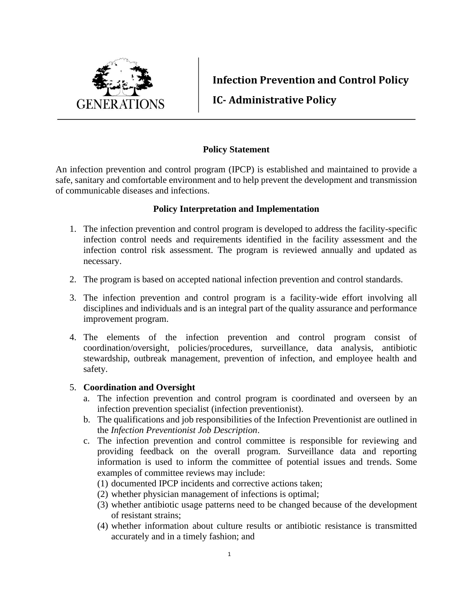

**Infection Prevention and Control Policy**

**IC- Administrative Policy**

## **Policy Statement**

An infection prevention and control program (IPCP) is established and maintained to provide a safe, sanitary and comfortable environment and to help prevent the development and transmission of communicable diseases and infections.

## **Policy Interpretation and Implementation**

- 1. The infection prevention and control program is developed to address the facility-specific infection control needs and requirements identified in the facility assessment and the infection control risk assessment. The program is reviewed annually and updated as necessary.
- 2. The program is based on accepted national infection prevention and control standards.
- 3. The infection prevention and control program is a facility-wide effort involving all disciplines and individuals and is an integral part of the quality assurance and performance improvement program.
- 4. The elements of the infection prevention and control program consist of coordination/oversight, policies/procedures, surveillance, data analysis, antibiotic stewardship, outbreak management, prevention of infection, and employee health and safety.

#### 5. **Coordination and Oversight**

- a. The infection prevention and control program is coordinated and overseen by an infection prevention specialist (infection preventionist).
- b. The qualifications and job responsibilities of the Infection Preventionist are outlined in the *Infection Preventionist Job Description*.
- c. The infection prevention and control committee is responsible for reviewing and providing feedback on the overall program. Surveillance data and reporting information is used to inform the committee of potential issues and trends. Some examples of committee reviews may include:
	- (1) documented IPCP incidents and corrective actions taken;
	- (2) whether physician management of infections is optimal;
	- (3) whether antibiotic usage patterns need to be changed because of the development of resistant strains;
	- (4) whether information about culture results or antibiotic resistance is transmitted accurately and in a timely fashion; and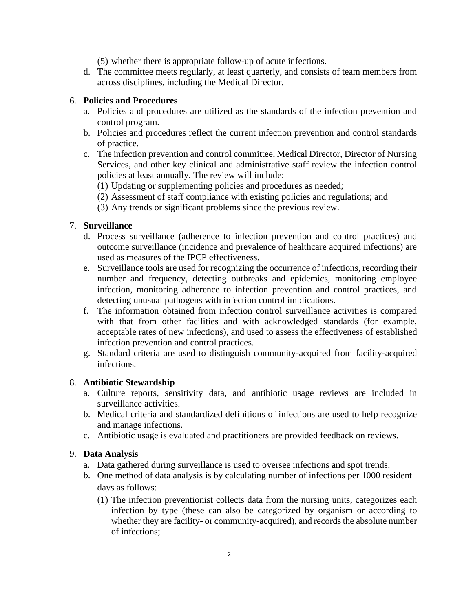(5) whether there is appropriate follow-up of acute infections.

d. The committee meets regularly, at least quarterly, and consists of team members from across disciplines, including the Medical Director.

### 6. **Policies and Procedures**

- a. Policies and procedures are utilized as the standards of the infection prevention and control program.
- b. Policies and procedures reflect the current infection prevention and control standards of practice.
- c. The infection prevention and control committee, Medical Director, Director of Nursing Services, and other key clinical and administrative staff review the infection control policies at least annually. The review will include:
	- (1) Updating or supplementing policies and procedures as needed;
	- (2) Assessment of staff compliance with existing policies and regulations; and
	- (3) Any trends or significant problems since the previous review.

# 7. **Surveillance**

- d. Process surveillance (adherence to infection prevention and control practices) and outcome surveillance (incidence and prevalence of healthcare acquired infections) are used as measures of the IPCP effectiveness.
- e. Surveillance tools are used for recognizing the occurrence of infections, recording their number and frequency, detecting outbreaks and epidemics, monitoring employee infection, monitoring adherence to infection prevention and control practices, and detecting unusual pathogens with infection control implications.
- f. The information obtained from infection control surveillance activities is compared with that from other facilities and with acknowledged standards (for example, acceptable rates of new infections), and used to assess the effectiveness of established infection prevention and control practices.
- g. Standard criteria are used to distinguish community-acquired from facility-acquired infections.

#### 8. **Antibiotic Stewardship**

- a. Culture reports, sensitivity data, and antibiotic usage reviews are included in surveillance activities.
- b. Medical criteria and standardized definitions of infections are used to help recognize and manage infections.
- c. Antibiotic usage is evaluated and practitioners are provided feedback on reviews.

#### 9. **Data Analysis**

- a. Data gathered during surveillance is used to oversee infections and spot trends.
- b. One method of data analysis is by calculating number of infections per 1000 resident days as follows:
	- (1) The infection preventionist collects data from the nursing units, categorizes each infection by type (these can also be categorized by organism or according to whether they are facility- or community-acquired), and records the absolute number of infections;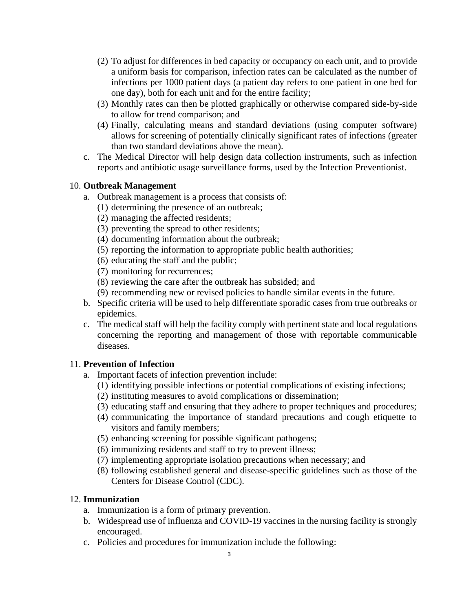- (2) To adjust for differences in bed capacity or occupancy on each unit, and to provide a uniform basis for comparison, infection rates can be calculated as the number of infections per 1000 patient days (a patient day refers to one patient in one bed for one day), both for each unit and for the entire facility;
- (3) Monthly rates can then be plotted graphically or otherwise compared side-by-side to allow for trend comparison; and
- (4) Finally, calculating means and standard deviations (using computer software) allows for screening of potentially clinically significant rates of infections (greater than two standard deviations above the mean).
- c. The Medical Director will help design data collection instruments, such as infection reports and antibiotic usage surveillance forms, used by the Infection Preventionist.

## 10. **Outbreak Management**

- a. Outbreak management is a process that consists of:
	- (1) determining the presence of an outbreak;
	- (2) managing the affected residents;
	- (3) preventing the spread to other residents;
	- (4) documenting information about the outbreak;
	- (5) reporting the information to appropriate public health authorities;
	- (6) educating the staff and the public;
	- (7) monitoring for recurrences;
	- (8) reviewing the care after the outbreak has subsided; and
	- (9) recommending new or revised policies to handle similar events in the future.
- b. Specific criteria will be used to help differentiate sporadic cases from true outbreaks or epidemics.
- c. The medical staff will help the facility comply with pertinent state and local regulations concerning the reporting and management of those with reportable communicable diseases.

# 11. **Prevention of Infection**

- a. Important facets of infection prevention include:
	- (1) identifying possible infections or potential complications of existing infections;
	- (2) instituting measures to avoid complications or dissemination;
	- (3) educating staff and ensuring that they adhere to proper techniques and procedures;
	- (4) communicating the importance of standard precautions and cough etiquette to visitors and family members;
	- (5) enhancing screening for possible significant pathogens;
	- (6) immunizing residents and staff to try to prevent illness;
	- (7) implementing appropriate isolation precautions when necessary; and
	- (8) following established general and disease-specific guidelines such as those of the Centers for Disease Control (CDC).

#### 12. **Immunization**

- a. Immunization is a form of primary prevention.
- b. Widespread use of influenza and COVID-19 vaccines in the nursing facility is strongly encouraged.
- c. Policies and procedures for immunization include the following: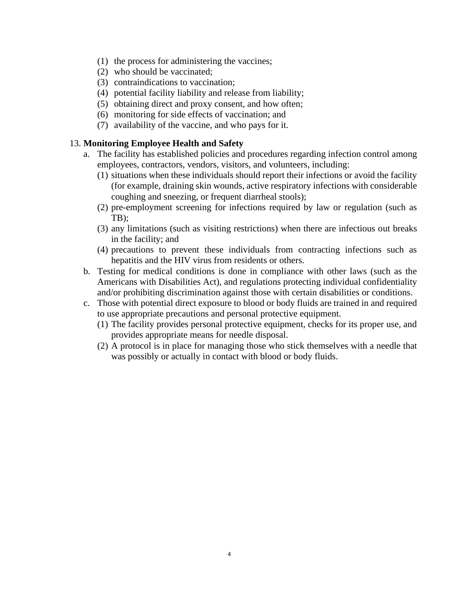- (1) the process for administering the vaccines;
- (2) who should be vaccinated;
- (3) contraindications to vaccination;
- (4) potential facility liability and release from liability;
- (5) obtaining direct and proxy consent, and how often;
- (6) monitoring for side effects of vaccination; and
- (7) availability of the vaccine, and who pays for it.

### 13. **Monitoring Employee Health and Safety**

- a. The facility has established policies and procedures regarding infection control among employees, contractors, vendors, visitors, and volunteers, including:
	- (1) situations when these individuals should report their infections or avoid the facility (for example, draining skin wounds, active respiratory infections with considerable coughing and sneezing, or frequent diarrheal stools);
	- (2) pre-employment screening for infections required by law or regulation (such as TB);
	- (3) any limitations (such as visiting restrictions) when there are infectious out breaks in the facility; and
	- (4) precautions to prevent these individuals from contracting infections such as hepatitis and the HIV virus from residents or others.
- b. Testing for medical conditions is done in compliance with other laws (such as the Americans with Disabilities Act), and regulations protecting individual confidentiality and/or prohibiting discrimination against those with certain disabilities or conditions.
- c. Those with potential direct exposure to blood or body fluids are trained in and required to use appropriate precautions and personal protective equipment.
	- (1) The facility provides personal protective equipment, checks for its proper use, and provides appropriate means for needle disposal.
	- (2) A protocol is in place for managing those who stick themselves with a needle that was possibly or actually in contact with blood or body fluids.